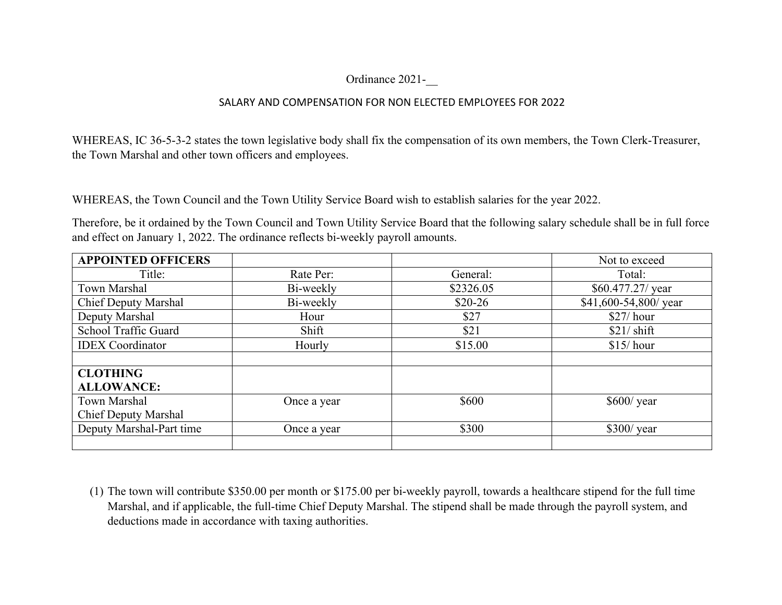## Ordinance 2021-\_\_

## SALARY AND COMPENSATION FOR NON ELECTED EMPLOYEES FOR 2022

WHEREAS, IC 36-5-3-2 states the town legislative body shall fix the compensation of its own members, the Town Clerk-Treasurer, the Town Marshal and other town officers and employees.

WHEREAS, the Town Council and the Town Utility Service Board wish to establish salaries for the year 2022.

Therefore, be it ordained by the Town Council and Town Utility Service Board that the following salary schedule shall be in full force and effect on January 1, 2022. The ordinance reflects bi-weekly payroll amounts.

| <b>APPOINTED OFFICERS</b>   |             |           | Not to exceed         |
|-----------------------------|-------------|-----------|-----------------------|
| Title:                      | Rate Per:   | General:  | Total:                |
| Town Marshal                | Bi-weekly   | \$2326.05 | $$60.477.27$ / year   |
| <b>Chief Deputy Marshal</b> | Bi-weekly   | $$20-26$  | \$41,600-54,800/ year |
| Deputy Marshal              | Hour        | \$27      | $$27/$ hour           |
| School Traffic Guard        | Shift       | \$21      | $$21/$ shift          |
| <b>IDEX</b> Coordinator     | Hourly      | \$15.00   | $$15/$ hour           |
|                             |             |           |                       |
| <b>CLOTHING</b>             |             |           |                       |
| <b>ALLOWANCE:</b>           |             |           |                       |
| Town Marshal                | Once a year | \$600     | $$600$ / year         |
| <b>Chief Deputy Marshal</b> |             |           |                       |
| Deputy Marshal-Part time    | Once a year | \$300     | $$300/$ year          |
|                             |             |           |                       |

(1) The town will contribute \$350.00 per month or \$175.00 per bi-weekly payroll, towards a healthcare stipend for the full time Marshal, and if applicable, the full-time Chief Deputy Marshal. The stipend shall be made through the payroll system, and deductions made in accordance with taxing authorities.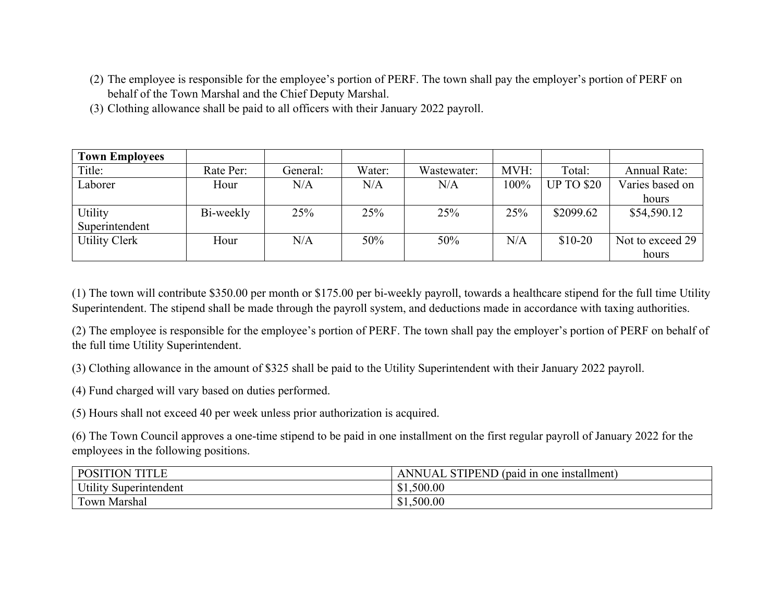- (2) The employee is responsible for the employee's portion of PERF. The town shall pay the employer's portion of PERF on behalf of the Town Marshal and the Chief Deputy Marshal.
- (3) Clothing allowance shall be paid to all officers with their January 2022 payroll.

| <b>Town Employees</b> |           |          |        |             |      |                   |                     |
|-----------------------|-----------|----------|--------|-------------|------|-------------------|---------------------|
| Title:                | Rate Per: | General: | Water: | Wastewater: | MVH: | Total:            | <b>Annual Rate:</b> |
| Laborer               | Hour      | N/A      | N/A    | N/A         | 100% | <b>UP TO \$20</b> | Varies based on     |
|                       |           |          |        |             |      |                   | hours               |
| Utility               | Bi-weekly | 25%      | 25%    | 25%         | 25%  | \$2099.62         | \$54,590.12         |
| Superintendent        |           |          |        |             |      |                   |                     |
| <b>Utility Clerk</b>  | Hour      | N/A      | 50%    | 50%         | N/A  | $$10-20$          | Not to exceed 29    |
|                       |           |          |        |             |      |                   | hours               |

(1) The town will contribute \$350.00 per month or \$175.00 per bi-weekly payroll, towards a healthcare stipend for the full time Utility Superintendent. The stipend shall be made through the payroll system, and deductions made in accordance with taxing authorities.

(2) The employee is responsible for the employee's portion of PERF. The town shall pay the employer's portion of PERF on behalf of the full time Utility Superintendent.

(3) Clothing allowance in the amount of \$325 shall be paid to the Utility Superintendent with their January 2022 payroll.

(4) Fund charged will vary based on duties performed.

(5) Hours shall not exceed 40 per week unless prior authorization is acquired.

(6) The Town Council approves a one-time stipend to be paid in one installment on the first regular payroll of January 2022 for the employees in the following positions.

| <b>POSITION</b><br><b>TITLE</b>        | STIPEND (paid in one $\overline{A}$<br>AN <sub>1</sub><br>· installment)<br>N<br>$\mathbf{A}$ |
|----------------------------------------|-----------------------------------------------------------------------------------------------|
| TT, 11<br>Superintendent<br>$U$ tility | 1,500.00<br>∩<br>ъ.                                                                           |
| Fown Marshal                           | 500.00<br>J.                                                                                  |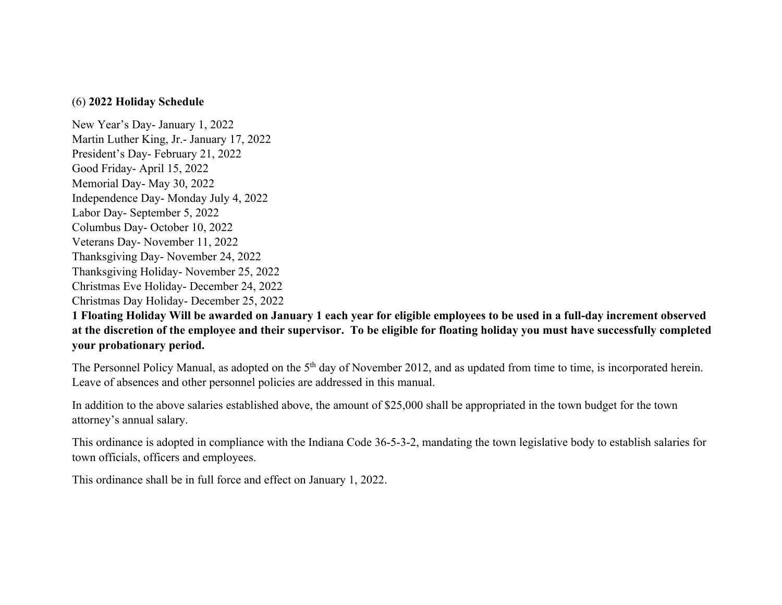## (6) **2022 Holiday Schedule**

New Year's Day- January 1, 2022 Martin Luther King, Jr.- January 17, 2022 President's Day- February 21, 2022 Good Friday- April 15, 2022 Memorial Day- May 30, 2022 Independence Day- Monday July 4, 2022 Labor Day- September 5, 2022 Columbus Day- October 10, 2022 Veterans Day- November 11, 2022 Thanksgiving Day- November 24, 2022 Thanksgiving Holiday- November 25, 2022 Christmas Eve Holiday- December 24, 2022 Christmas Day Holiday- December 25, 2022

**1 Floating Holiday Will be awarded on January 1 each year for eligible employees to be used in a full-day increment observed at the discretion of the employee and their supervisor. To be eligible for floating holiday you must have successfully completed your probationary period.**

The Personnel Policy Manual, as adopted on the 5<sup>th</sup> day of November 2012, and as updated from time to time, is incorporated herein. Leave of absences and other personnel policies are addressed in this manual.

In addition to the above salaries established above, the amount of \$25,000 shall be appropriated in the town budget for the town attorney's annual salary.

This ordinance is adopted in compliance with the Indiana Code 36-5-3-2, mandating the town legislative body to establish salaries for town officials, officers and employees.

This ordinance shall be in full force and effect on January 1, 2022.